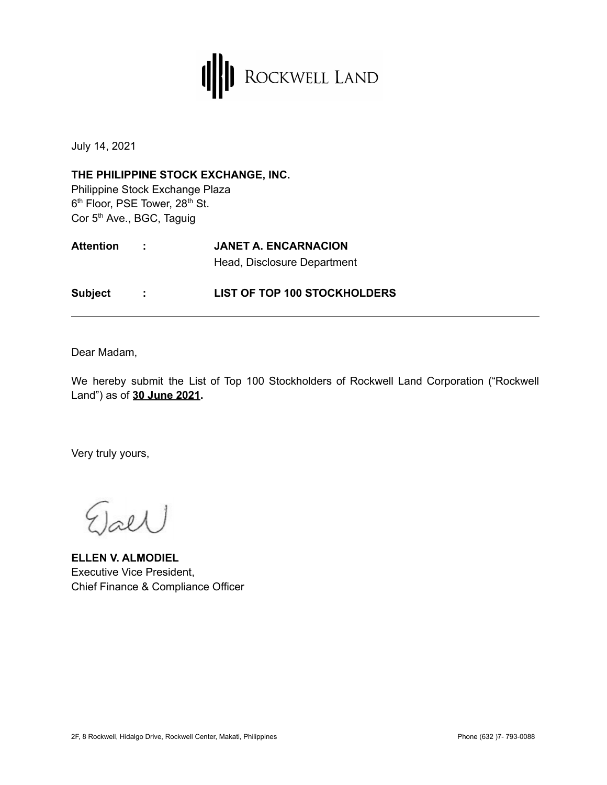

July 14, 2021

**THE PHILIPPINE STOCK EXCHANGE, INC.** Philippine Stock Exchange Plaza 6<sup>th</sup> Floor, PSE Tower, 28<sup>th</sup> St. Cor 5<sup>th</sup> Ave., BGC, Taguig

| <b>Attention</b> | <b>JANET A. ENCARNACION</b>         |
|------------------|-------------------------------------|
|                  | Head, Disclosure Department         |
| <b>Subject</b>   | <b>LIST OF TOP 100 STOCKHOLDERS</b> |

Dear Madam,

We hereby submit the List of Top 100 Stockholders of Rockwell Land Corporation ("Rockwell Land") as of **30 June 2021.**

Very truly yours,

 $2l\lambda$ 

**ELLEN V. ALMODIEL** Executive Vice President, Chief Finance & Compliance Officer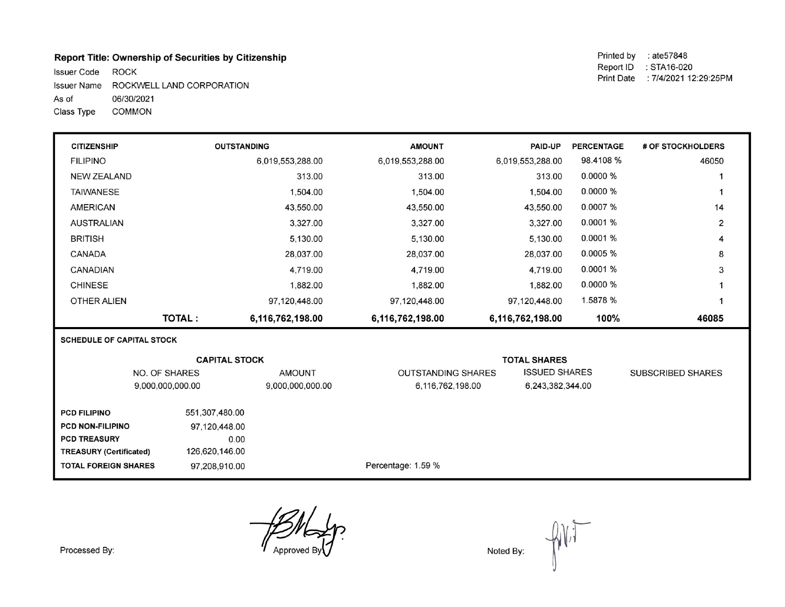## Report Title: Ownership of Securities by Citizenship

Issuer Code ROCK Issuer Name ROCKWELL LAND CORPORATION As of 06/30/2021 Class Type **COMMON** 

Printed by : ate57848 Report ID : STA16-020 Print Date : 7/4/2021 12:29:25PM

| <b>CITIZENSHIP</b>               |                                       | <b>OUTSTANDING</b>   | <b>AMOUNT</b>                                     | PAID-UP             | <b>PERCENTAGE</b> | # OF STOCKHOLDERS        |  |
|----------------------------------|---------------------------------------|----------------------|---------------------------------------------------|---------------------|-------------------|--------------------------|--|
| <b>FILIPINO</b>                  |                                       | 6,019,553,288.00     | 6,019,553,288.00                                  | 6,019,553,288.00    | 98.4108 %         | 46050                    |  |
| <b>NEW ZEALAND</b>               |                                       | 313.00               | 313.00                                            | 313.00              | 0.0000 %          |                          |  |
| <b>TAIWANESE</b>                 |                                       | 1,504.00             | 1,504.00                                          | 1,504.00            | 0.0000 %          |                          |  |
| <b>AMERICAN</b>                  |                                       | 43,550.00            | 43,550.00                                         | 43,550.00           | 0.0007 %          | 14                       |  |
| <b>AUSTRALIAN</b>                |                                       | 3,327.00             | 3,327.00                                          | 3,327.00            | 0.0001 %          | $\overline{2}$           |  |
| <b>BRITISH</b>                   |                                       | 5,130.00             | 5,130.00                                          | 5,130.00            | 0.0001%           | 4                        |  |
| CANADA                           |                                       | 28,037.00            | 28,037.00                                         | 28,037.00           | 0.0005 %          | 8                        |  |
| CANADIAN                         |                                       | 4,719.00             | 4,719.00                                          | 4.719.00            | 0.0001 %          | 3                        |  |
| <b>CHINESE</b>                   |                                       | 1,882.00             | 1,882.00                                          | 1,882.00            | 0.0000 %          |                          |  |
| OTHER ALIEN                      |                                       | 97,120,448.00        | 97,120,448.00                                     | 97,120,448.00       | 1.5878 %          | 1                        |  |
|                                  | <b>TOTAL:</b>                         | 6,116,762,198.00     | 6,116,762,198.00                                  | 6,116,762,198.00    | 100%              | 46085                    |  |
| <b>SCHEDULE OF CAPITAL STOCK</b> |                                       |                      |                                                   |                     |                   |                          |  |
|                                  |                                       | <b>CAPITAL STOCK</b> |                                                   | <b>TOTAL SHARES</b> |                   |                          |  |
| NO. OF SHARES<br><b>AMOUNT</b>   |                                       |                      | <b>ISSUED SHARES</b><br><b>OUTSTANDING SHARES</b> |                     |                   | <b>SUBSCRIBED SHARES</b> |  |
|                                  | 9,000,000,000.00                      | 9,000,000,000.00     | 6,116,762,198.00                                  | 6,243,382,344.00    |                   |                          |  |
|                                  |                                       |                      |                                                   |                     |                   |                          |  |
|                                  | 551,307,480.00<br><b>PCD FILIPINO</b> |                      |                                                   |                     |                   |                          |  |
|                                  | PCD NON-FILIPINO<br>97,120,448.00     |                      |                                                   |                     |                   |                          |  |
| <b>PCD TREASURY</b>              |                                       | 0.00                 |                                                   |                     |                   |                          |  |
| <b>TREASURY (Certificated)</b>   | 126,620,146.00                        |                      |                                                   |                     |                   |                          |  |

Percentage: 1.59 %

Approved

97,208,910.00

Noted By:

Processed By:

**TOTAL FOREIGN SHARES**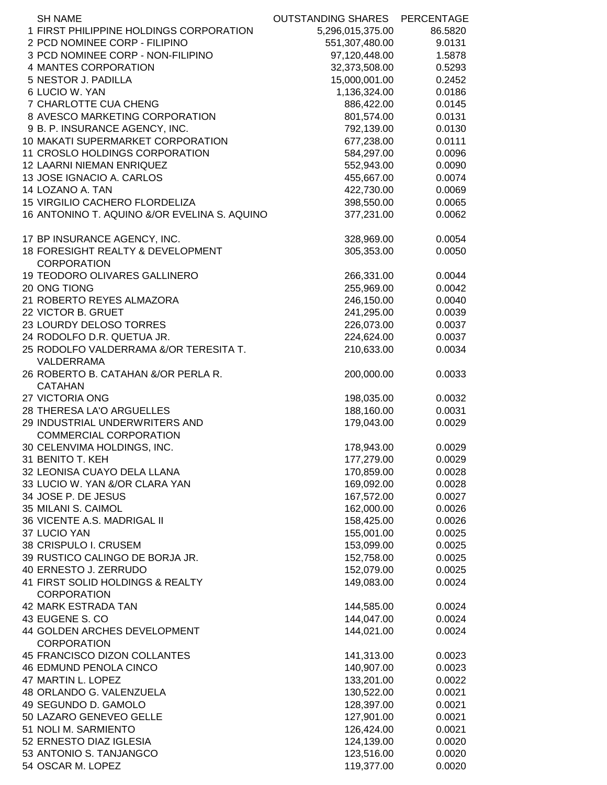| <b>SH NAME</b>                                       | OUTSTANDING SHARES | PERCENTAGE |
|------------------------------------------------------|--------------------|------------|
| 1 FIRST PHILIPPINE HOLDINGS CORPORATION              | 5,296,015,375.00   | 86.5820    |
| 2 PCD NOMINEE CORP - FILIPINO                        | 551,307,480.00     | 9.0131     |
| 3 PCD NOMINEE CORP - NON-FILIPINO                    | 97,120,448.00      | 1.5878     |
| 4 MANTES CORPORATION                                 | 32,373,508.00      | 0.5293     |
| 5 NESTOR J. PADILLA                                  | 15,000,001.00      | 0.2452     |
| 6 LUCIO W. YAN                                       | 1,136,324.00       | 0.0186     |
| 7 CHARLOTTE CUA CHENG                                | 886,422.00         | 0.0145     |
| 8 AVESCO MARKETING CORPORATION                       | 801,574.00         | 0.0131     |
| 9 B. P. INSURANCE AGENCY, INC.                       | 792,139.00         | 0.0130     |
| 10 MAKATI SUPERMARKET CORPORATION                    | 677,238.00         | 0.0111     |
| 11 CROSLO HOLDINGS CORPORATION                       | 584,297.00         | 0.0096     |
| 12 LAARNI NIEMAN ENRIQUEZ                            | 552,943.00         | 0.0090     |
| 13 JOSE IGNACIO A. CARLOS                            | 455,667.00         | 0.0074     |
| 14 LOZANO A. TAN                                     | 422,730.00         | 0.0069     |
| 15 VIRGILIO CACHERO FLORDELIZA                       | 398,550.00         | 0.0065     |
| 16 ANTONINO T. AQUINO &/OR EVELINA S. AQUINO         | 377,231.00         | 0.0062     |
| 17 BP INSURANCE AGENCY, INC.                         | 328,969.00         | 0.0054     |
| 18 FORESIGHT REALTY & DEVELOPMENT                    | 305,353.00         | 0.0050     |
| <b>CORPORATION</b>                                   |                    |            |
| 19 TEODORO OLIVARES GALLINERO                        | 266,331.00         | 0.0044     |
| 20 ONG TIONG                                         | 255,969.00         | 0.0042     |
| 21 ROBERTO REYES ALMAZORA                            | 246,150.00         | 0.0040     |
| 22 VICTOR B. GRUET                                   | 241,295.00         | 0.0039     |
| 23 LOURDY DELOSO TORRES                              |                    | 0.0037     |
|                                                      | 226,073.00         |            |
| 24 RODOLFO D.R. QUETUA JR.                           | 224,624.00         | 0.0037     |
| 25 RODOLFO VALDERRAMA &/OR TERESITA T.<br>VALDERRAMA | 210,633.00         | 0.0034     |
| 26 ROBERTO B. CATAHAN &/OR PERLA R.                  | 200,000.00         | 0.0033     |
| <b>CATAHAN</b>                                       |                    |            |
| 27 VICTORIA ONG                                      | 198,035.00         | 0.0032     |
| 28 THERESA LA'O ARGUELLES                            | 188,160.00         | 0.0031     |
| 29 INDUSTRIAL UNDERWRITERS AND                       | 179,043.00         | 0.0029     |
| <b>COMMERCIAL CORPORATION</b>                        |                    |            |
| 30 CELENVIMA HOLDINGS, INC.                          | 178,943.00         | 0.0029     |
| 31 BENITO T. KEH                                     | 177,279.00         | 0.0029     |
| 32 LEONISA CUAYO DELA LLANA                          | 170,859.00         | 0.0028     |
| 33 LUCIO W. YAN &/OR CLARA YAN                       | 169,092.00         | 0.0028     |
| 34 JOSE P. DE JESUS                                  | 167,572.00         | 0.0027     |
| 35 MILANI S. CAIMOL                                  | 162,000.00         | 0.0026     |
| 36 VICENTE A.S. MADRIGAL II                          | 158,425.00         | 0.0026     |
| 37 LUCIO YAN                                         | 155,001.00         | 0.0025     |
| 38 CRISPULO I. CRUSEM                                | 153,099.00         | 0.0025     |
| 39 RUSTICO CALINGO DE BORJA JR.                      | 152,758.00         | 0.0025     |
| 40 ERNESTO J. ZERRUDO                                | 152,079.00         | 0.0025     |
| 41 FIRST SOLID HOLDINGS & REALTY                     | 149,083.00         | 0.0024     |
| <b>CORPORATION</b>                                   |                    |            |
| <b>42 MARK ESTRADA TAN</b>                           | 144,585.00         | 0.0024     |
| 43 EUGENE S. CO                                      | 144,047.00         | 0.0024     |
| 44 GOLDEN ARCHES DEVELOPMENT                         | 144,021.00         | 0.0024     |
| <b>CORPORATION</b>                                   |                    |            |
| 45 FRANCISCO DIZON COLLANTES                         | 141,313.00         | 0.0023     |
| <b>46 EDMUND PENOLA CINCO</b>                        | 140,907.00         | 0.0023     |
| 47 MARTIN L. LOPEZ                                   | 133,201.00         | 0.0022     |
| 48 ORLANDO G. VALENZUELA                             | 130,522.00         | 0.0021     |
| 49 SEGUNDO D. GAMOLO                                 | 128,397.00         | 0.0021     |
| 50 LAZARO GENEVEO GELLE                              | 127,901.00         | 0.0021     |
| 51 NOLI M. SARMIENTO                                 | 126,424.00         | 0.0021     |
| 52 ERNESTO DIAZ IGLESIA                              | 124,139.00         | 0.0020     |
| 53 ANTONIO S. TANJANGCO                              | 123,516.00         | 0.0020     |
| 54 OSCAR M. LOPEZ                                    | 119,377.00         | 0.0020     |
|                                                      |                    |            |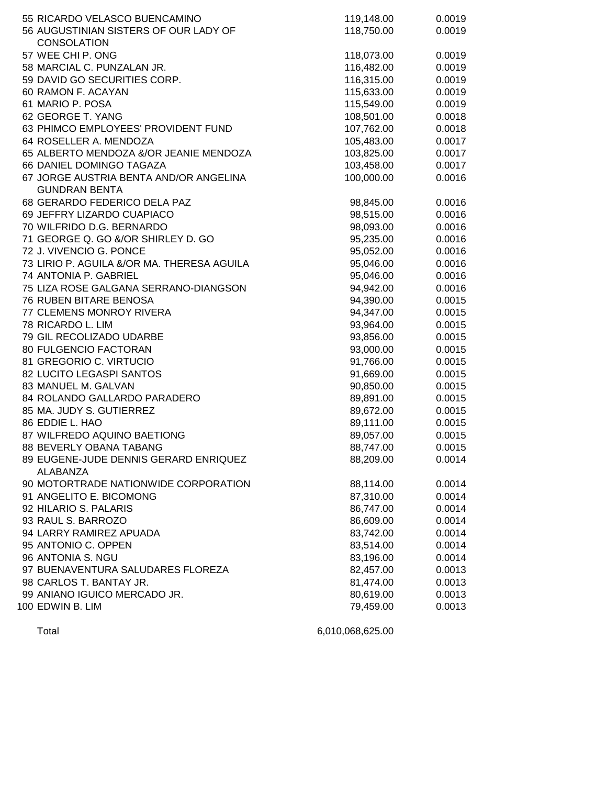| 55 RICARDO VELASCO BUENCAMINO              | 119,148.00 | 0.0019 |
|--------------------------------------------|------------|--------|
| 56 AUGUSTINIAN SISTERS OF OUR LADY OF      | 118,750.00 | 0.0019 |
| <b>CONSOLATION</b>                         |            |        |
| 57 WEE CHI P. ONG                          | 118,073.00 | 0.0019 |
| 58 MARCIAL C. PUNZALAN JR.                 | 116,482.00 | 0.0019 |
| 59 DAVID GO SECURITIES CORP.               | 116,315.00 | 0.0019 |
| 60 RAMON F. ACAYAN                         | 115,633.00 | 0.0019 |
| 61 MARIO P. POSA                           | 115,549.00 | 0.0019 |
| 62 GEORGE T. YANG                          | 108,501.00 | 0.0018 |
| 63 PHIMCO EMPLOYEES' PROVIDENT FUND        | 107,762.00 | 0.0018 |
| 64 ROSELLER A. MENDOZA                     | 105,483.00 | 0.0017 |
| 65 ALBERTO MENDOZA &/OR JEANIE MENDOZA     | 103,825.00 | 0.0017 |
| 66 DANIEL DOMINGO TAGAZA                   | 103,458.00 | 0.0017 |
| 67 JORGE AUSTRIA BENTA AND/OR ANGELINA     | 100,000.00 | 0.0016 |
| <b>GUNDRAN BENTA</b>                       |            |        |
| 68 GERARDO FEDERICO DELA PAZ               | 98,845.00  | 0.0016 |
| 69 JEFFRY LIZARDO CUAPIACO                 | 98,515.00  | 0.0016 |
| 70 WILFRIDO D.G. BERNARDO                  | 98,093.00  | 0.0016 |
| 71 GEORGE Q. GO &/OR SHIRLEY D. GO         | 95,235.00  | 0.0016 |
| 72 J. VIVENCIO G. PONCE                    | 95,052.00  | 0.0016 |
| 73 LIRIO P. AGUILA &/OR MA. THERESA AGUILA | 95,046.00  | 0.0016 |
| 74 ANTONIA P. GABRIEL                      | 95,046.00  | 0.0016 |
| 75 LIZA ROSE GALGANA SERRANO-DIANGSON      | 94,942.00  | 0.0016 |
| 76 RUBEN BITARE BENOSA                     | 94,390.00  | 0.0015 |
| 77 CLEMENS MONROY RIVERA                   | 94,347.00  | 0.0015 |
| 78 RICARDO L. LIM                          | 93,964.00  | 0.0015 |
| 79 GIL RECOLIZADO UDARBE                   | 93,856.00  | 0.0015 |
| 80 FULGENCIO FACTORAN                      | 93,000.00  | 0.0015 |
| 81 GREGORIO C. VIRTUCIO                    | 91,766.00  | 0.0015 |
| 82 LUCITO LEGASPI SANTOS                   | 91,669.00  | 0.0015 |
| 83 MANUEL M. GALVAN                        | 90,850.00  | 0.0015 |
| 84 ROLANDO GALLARDO PARADERO               | 89,891.00  | 0.0015 |
| 85 MA. JUDY S. GUTIERREZ                   | 89,672.00  | 0.0015 |
| 86 EDDIE L. HAO                            | 89,111.00  | 0.0015 |
| 87 WILFREDO AQUINO BAETIONG                | 89,057.00  | 0.0015 |
| 88 BEVERLY OBANA TABANG                    | 88,747.00  | 0.0015 |
| 89 EUGENE-JUDE DENNIS GERARD ENRIQUEZ      | 88,209.00  | 0.0014 |
| ALABANZA                                   |            |        |
| 90 MOTORTRADE NATIONWIDE CORPORATION       | 88,114.00  | 0.0014 |
| 91 ANGELITO E. BICOMONG                    | 87,310.00  | 0.0014 |
| 92 HILARIO S. PALARIS                      | 86,747.00  | 0.0014 |
| 93 RAUL S. BARROZO                         | 86,609.00  | 0.0014 |
| 94 LARRY RAMIREZ APUADA                    | 83,742.00  | 0.0014 |
| 95 ANTONIO C. OPPEN                        | 83,514.00  | 0.0014 |
| 96 ANTONIA S. NGU                          | 83,196.00  | 0.0014 |
| 97 BUENAVENTURA SALUDARES FLOREZA          | 82,457.00  | 0.0013 |
| 98 CARLOS T. BANTAY JR.                    | 81,474.00  | 0.0013 |
| 99 ANIANO IGUICO MERCADO JR.               | 80,619.00  | 0.0013 |
| 100 EDWIN B. LIM                           | 79,459.00  | 0.0013 |
|                                            |            |        |

Total 6,010,068,625.00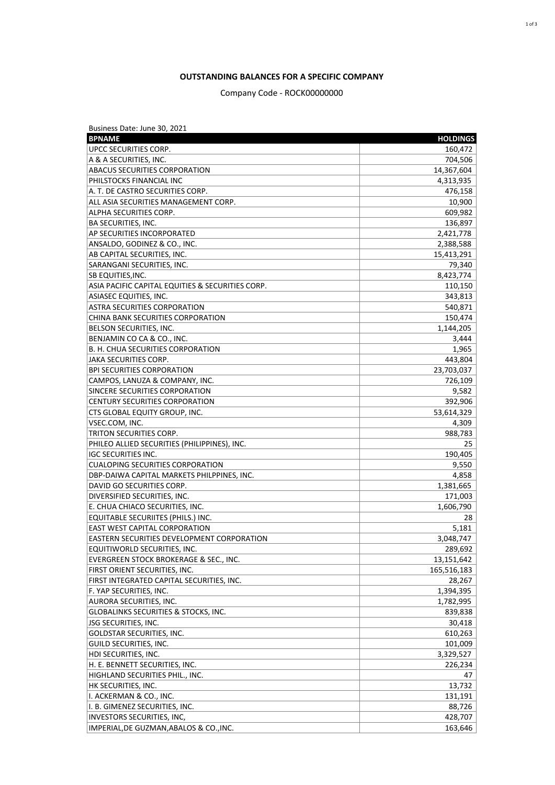## **OUTSTANDING BALANCES FOR A SPECIFIC COMPANY**

## Company Code - ROCK00000000

| Business Date: June 30, 2021                      |                 |
|---------------------------------------------------|-----------------|
| <b>BPNAME</b>                                     | <b>HOLDINGS</b> |
| UPCC SECURITIES CORP.                             | 160,472         |
| A & A SECURITIES, INC.                            | 704,506         |
| ABACUS SECURITIES CORPORATION                     | 14,367,604      |
| PHILSTOCKS FINANCIAL INC                          | 4,313,935       |
| A. T. DE CASTRO SECURITIES CORP.                  | 476,158         |
| ALL ASIA SECURITIES MANAGEMENT CORP.              | 10,900          |
| ALPHA SECURITIES CORP.                            | 609,982         |
| <b>BA SECURITIES, INC.</b>                        | 136,897         |
| AP SECURITIES INCORPORATED                        | 2,421,778       |
| ANSALDO, GODINEZ & CO., INC.                      | 2,388,588       |
| AB CAPITAL SECURITIES, INC.                       | 15,413,291      |
| SARANGANI SECURITIES, INC.                        | 79,340          |
| <b>SB EQUITIES, INC.</b>                          | 8,423,774       |
| ASIA PACIFIC CAPITAL EQUITIES & SECURITIES CORP.  |                 |
|                                                   | 110,150         |
| <b>ASIASEC EQUITIES, INC.</b>                     | 343,813         |
| <b>ASTRA SECURITIES CORPORATION</b>               | 540,871         |
| CHINA BANK SECURITIES CORPORATION                 | 150,474         |
| BELSON SECURITIES, INC.                           | 1,144,205       |
| BENJAMIN CO CA & CO., INC.                        | 3,444           |
| B. H. CHUA SECURITIES CORPORATION                 | 1,965           |
| JAKA SECURITIES CORP.                             | 443,804         |
| <b>BPI SECURITIES CORPORATION</b>                 | 23,703,037      |
| CAMPOS, LANUZA & COMPANY, INC.                    | 726,109         |
| SINCERE SECURITIES CORPORATION                    | 9,582           |
| <b>CENTURY SECURITIES CORPORATION</b>             | 392,906         |
| CTS GLOBAL EQUITY GROUP, INC.                     | 53,614,329      |
| VSEC.COM, INC.                                    | 4,309           |
| TRITON SECURITIES CORP.                           | 988,783         |
| PHILEO ALLIED SECURITIES (PHILIPPINES), INC.      | 25              |
| <b>IGC SECURITIES INC.</b>                        | 190,405         |
| <b>CUALOPING SECURITIES CORPORATION</b>           | 9,550           |
| DBP-DAIWA CAPITAL MARKETS PHILPPINES, INC.        | 4,858           |
| DAVID GO SECURITIES CORP.                         | 1,381,665       |
| DIVERSIFIED SECURITIES, INC.                      | 171,003         |
| E. CHUA CHIACO SECURITIES, INC.                   | 1,606,790       |
| EQUITABLE SECURIITES (PHILS.) INC.                | 28              |
| <b>EAST WEST CAPITAL CORPORATION</b>              | 5,181           |
| <b>EASTERN SECURITIES DEVELOPMENT CORPORATION</b> | 3,048,747       |
| EQUITIWORLD SECURITIES, INC.                      | 289,692         |
| EVERGREEN STOCK BROKERAGE & SEC., INC.            | 13,151,642      |
| FIRST ORIENT SECURITIES, INC.                     | 165,516,183     |
| FIRST INTEGRATED CAPITAL SECURITIES, INC.         | 28,267          |
| F. YAP SECURITIES, INC.                           | 1,394,395       |
| AURORA SECURITIES, INC.                           | 1,782,995       |
| <b>GLOBALINKS SECURITIES &amp; STOCKS, INC.</b>   | 839,838         |
| <b>JSG SECURITIES, INC.</b>                       | 30,418          |
| GOLDSTAR SECURITIES, INC.                         | 610,263         |
|                                                   |                 |
| GUILD SECURITIES, INC.                            | 101,009         |
| HDI SECURITIES, INC.                              | 3,329,527       |
| H. E. BENNETT SECURITIES, INC.                    | 226,234         |
| HIGHLAND SECURITIES PHIL., INC.                   | 47              |
| HK SECURITIES, INC.                               | 13,732          |
| I. ACKERMAN & CO., INC.                           | 131,191         |
| I. B. GIMENEZ SECURITIES, INC.                    | 88,726          |
| <b>INVESTORS SECURITIES, INC,</b>                 | 428,707         |
| IMPERIAL, DE GUZMAN, ABALOS & CO., INC.           | 163,646         |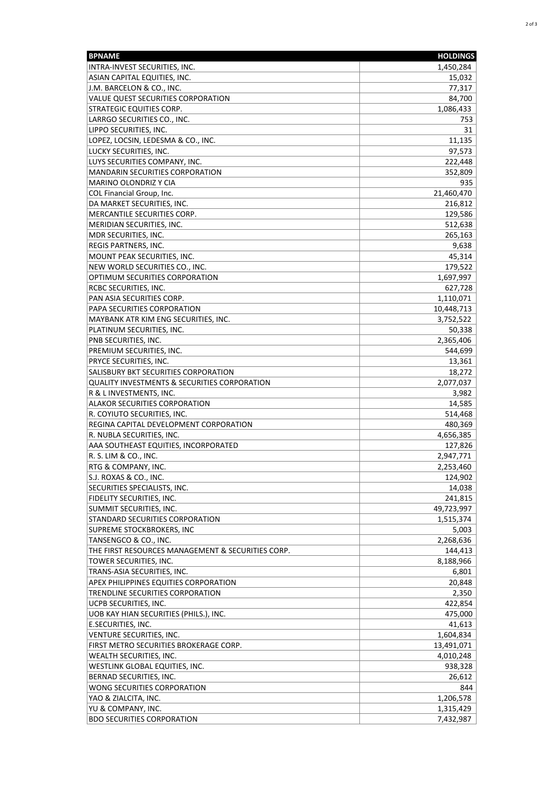| <b>BPNAME</b>                                                     | <b>HOLDINGS</b>         |
|-------------------------------------------------------------------|-------------------------|
| INTRA-INVEST SECURITIES, INC.                                     | 1,450,284               |
| ASIAN CAPITAL EQUITIES, INC.                                      | 15,032                  |
| J.M. BARCELON & CO., INC.                                         | 77,317                  |
| VALUE QUEST SECURITIES CORPORATION                                | 84,700                  |
| <b>STRATEGIC EQUITIES CORP.</b>                                   | 1,086,433               |
| LARRGO SECURITIES CO., INC.                                       | 753                     |
| LIPPO SECURITIES, INC.                                            | 31                      |
| LOPEZ, LOCSIN, LEDESMA & CO., INC.                                | 11,135                  |
| LUCKY SECURITIES, INC.                                            | 97,573                  |
| LUYS SECURITIES COMPANY, INC.                                     | 222,448                 |
| <b>MANDARIN SECURITIES CORPORATION</b>                            | 352,809                 |
| MARINO OLONDRIZ Y CIA                                             | 935                     |
| COL Financial Group, Inc.                                         | 21,460,470              |
| DA MARKET SECURITIES, INC.                                        | 216,812                 |
| MERCANTILE SECURITIES CORP.                                       | 129,586                 |
| MERIDIAN SECURITIES, INC.                                         | 512,638                 |
| MDR SECURITIES, INC.                                              | 265,163                 |
| REGIS PARTNERS, INC.                                              | 9,638                   |
| MOUNT PEAK SECURITIES, INC.                                       | 45,314                  |
| NEW WORLD SECURITIES CO., INC.                                    | 179,522                 |
| OPTIMUM SECURITIES CORPORATION                                    | 1,697,997               |
| RCBC SECURITIES, INC.                                             | 627,728                 |
| PAN ASIA SECURITIES CORP.                                         | 1,110,071               |
| PAPA SECURITIES CORPORATION                                       | 10,448,713              |
| MAYBANK ATR KIM ENG SECURITIES, INC.                              | 3,752,522               |
| PLATINUM SECURITIES, INC.                                         | 50,338                  |
| PNB SECURITIES, INC.                                              | 2,365,406               |
| PREMIUM SECURITIES, INC.                                          | 544,699                 |
| PRYCE SECURITIES, INC.                                            | 13,361                  |
| SALISBURY BKT SECURITIES CORPORATION                              | 18,272                  |
| <b>QUALITY INVESTMENTS &amp; SECURITIES CORPORATION</b>           | 2,077,037               |
| R & L INVESTMENTS, INC.                                           | 3,982                   |
| ALAKOR SECURITIES CORPORATION                                     | 14,585                  |
| R. COYIUTO SECURITIES, INC.                                       | 514,468                 |
| REGINA CAPITAL DEVELOPMENT CORPORATION                            | 480,369                 |
| R. NUBLA SECURITIES, INC.                                         | 4,656,385               |
| AAA SOUTHEAST EQUITIES, INCORPORATED                              | 127,826                 |
| R. S. LIM & CO., INC.                                             | 2,947,771               |
| RTG & COMPANY, INC.                                               | 2,253,460               |
| S.J. ROXAS & CO., INC.                                            | 124,902                 |
| SECURITIES SPECIALISTS, INC.                                      | 14,038                  |
| FIDELITY SECURITIES, INC.                                         | 241,815                 |
| SUMMIT SECURITIES, INC.                                           | 49,723,997              |
| STANDARD SECURITIES CORPORATION<br>SUPREME STOCKBROKERS, INC      | 1,515,374               |
| TANSENGCO & CO., INC.                                             | 5,003                   |
| THE FIRST RESOURCES MANAGEMENT & SECURITIES CORP.                 | 2,268,636<br>144,413    |
| TOWER SECURITIES, INC.                                            |                         |
| TRANS-ASIA SECURITIES, INC.                                       | 8,188,966<br>6,801      |
| APEX PHILIPPINES EQUITIES CORPORATION                             | 20,848                  |
| TRENDLINE SECURITIES CORPORATION                                  | 2,350                   |
| UCPB SECURITIES, INC.                                             | 422,854                 |
| UOB KAY HIAN SECURITIES (PHILS.), INC.                            | 475,000                 |
|                                                                   |                         |
| E.SECURITIES, INC.<br>VENTURE SECURITIES, INC.                    | 41,613<br>1,604,834     |
|                                                                   |                         |
| FIRST METRO SECURITIES BROKERAGE CORP.<br>WEALTH SECURITIES, INC. | 13,491,071<br>4,010,248 |
| WESTLINK GLOBAL EQUITIES, INC.                                    | 938,328                 |
| BERNAD SECURITIES, INC.                                           | 26,612                  |
| WONG SECURITIES CORPORATION                                       | 844                     |
| YAO & ZIALCITA, INC.                                              | 1,206,578               |
| YU & COMPANY, INC.                                                | 1,315,429               |
| <b>BDO SECURITIES CORPORATION</b>                                 | 7,432,987               |
|                                                                   |                         |